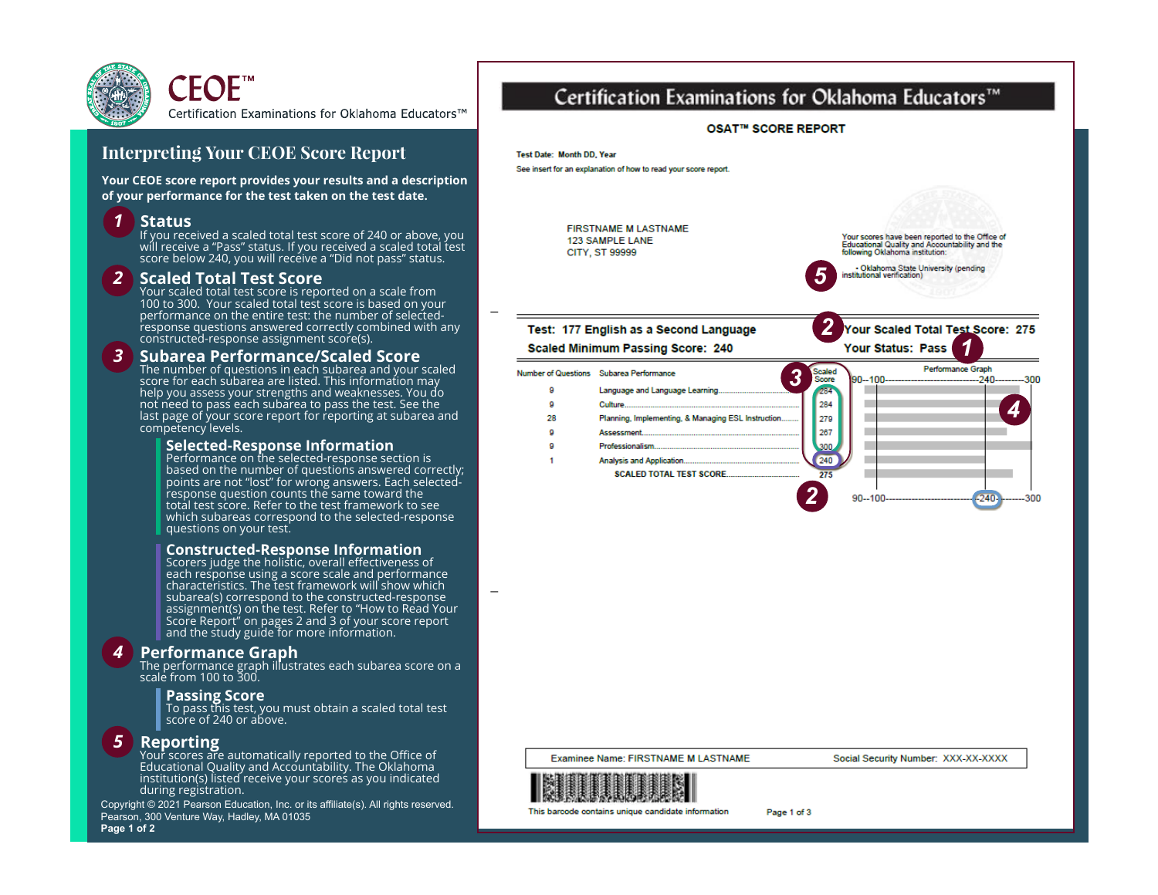

## **Interpreting Your CEOE Score Report**

**Your CEOE score report provides your results and a description of your performance for the test taken on the test date.**

### *1* **Status**

If you received a scaled total test score of 240 or above, you will receive a "Pass" status. If you received a scaled total test score below 240, you will receive a "Did not pass" status.

### *2* **Scaled Total Test Score**

Your scaled total test score is reported on a scale from 100 to 300. Your scaled total test score is based on your performance on the entire test: the number of selectedresponse questions answered correctly combined with any constructed-response assignment score(s).

#### *3* **Subarea Performance/Scaled Score**

The number of questions in each subarea and your scaled score for each subarea are listed. This information may help you assess your strengths and weaknesses. You do not need to pass each subarea to pass the test. See the last page of your score report for reporting at subarea and competency levels.

# **Selected-Response Information** Performance on the selected-response section is

based on the number of questions answered correctly; points are not "lost" for wrong answers. Each selectedresponse question counts the same toward the total test score. Refer to the test framework to see which subareas correspond to the selected-response questions on your test.

#### **Constructed-Response Information**

Scorers judge the holistic, overall effectiveness of each response using a score scale and performance characteristics. The test framework will show which subarea(s) correspond to the constructed-response assignment(s) on the test. Refer to "How to Read Your Score Report" on pages 2 and 3 of your score report and the study guide for more information.

### *4* **Performance Graph**

The performance graph illustrates each subarea score on a scale from 100 to 300.

**Passing Score** To pass this test, you must obtain a scaled total test score of 240 or above.

### *5* **Reporting**

Your scores are automatically reported to the Office of Educational Quality and Accountability. The Oklahoma institution(s) listed receive your scores as you indicated during registration.

Copyright © 2021 Pearson Education, Inc. or its affiliate(s). All rights reserved. Pearson, 300 Venture Way, Hadley, MA 01035



# Certification Examinations for Oklahoma Educators™



**Examinee Name: FIRSTNAME M LASTNAME** 

Social Security Number: XXX-XX-XXXX



This barcode contains unique candidate information

Page 1 of 3